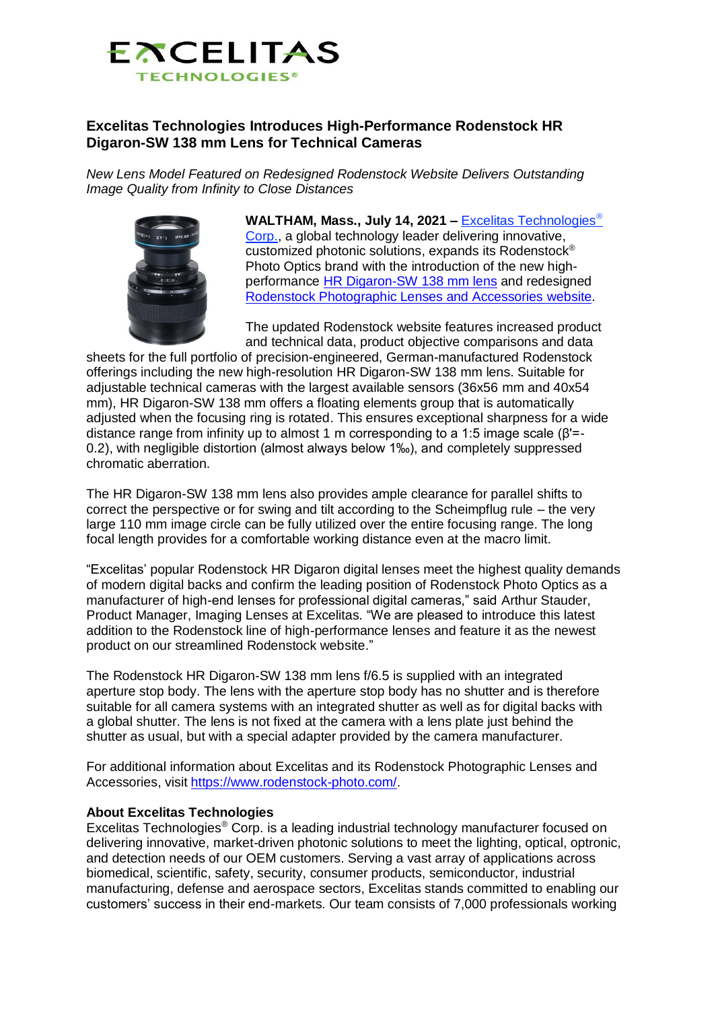

## **Excelitas Technologies Introduces High-Performance Rodenstock HR Digaron-SW 138 mm Lens for Technical Cameras**

*New Lens Model Featured on Redesigned Rodenstock Website Delivers Outstanding Image Quality from Infinity to Close Distances*



**WALTHAM, Mass., July 14, 2021 –** [Excelitas Technologies](https://www.excelitas.com/) [Corp.,](https://www.excelitas.com/) a global technology leader delivering innovative, customized photonic solutions, expands its Rodenstock® Photo Optics brand with the introduction of the new highperformance [HR Digaron-SW 138 mm lens](https://www.rodenstock-photo.com/product/hr-digaron-sw/138-mm) and redesigned [Rodenstock Photographic Lenses and Accessories website.](http://www.rodenstock-photo.com/)

The updated Rodenstock website features increased product and technical data, product objective comparisons and data

sheets for the full portfolio of precision-engineered, German-manufactured Rodenstock offerings including the new high-resolution HR Digaron-SW 138 mm lens. Suitable for adjustable technical cameras with the largest available sensors (36x56 mm and 40x54 mm), HR Digaron-SW 138 mm offers a floating elements group that is automatically adjusted when the focusing ring is rotated. This ensures exceptional sharpness for a wide distance range from infinity up to almost 1 m corresponding to a 1:5 image scale (β'=- 0.2), with negligible distortion (almost always below 1‰), and completely suppressed chromatic aberration.

The HR Digaron-SW 138 mm lens also provides ample clearance for parallel shifts to correct the perspective or for swing and tilt according to the Scheimpflug rule – the very large 110 mm image circle can be fully utilized over the entire focusing range. The long focal length provides for a comfortable working distance even at the macro limit.

"Excelitas' popular Rodenstock HR Digaron digital lenses meet the highest quality demands of modern digital backs and confirm the leading position of Rodenstock Photo Optics as a manufacturer of high-end lenses for professional digital cameras," said Arthur Stauder, Product Manager, Imaging Lenses at Excelitas. "We are pleased to introduce this latest addition to the Rodenstock line of high-performance lenses and feature it as the newest product on our streamlined Rodenstock website."

The Rodenstock HR Digaron-SW 138 mm lens f/6.5 is supplied with an integrated aperture stop body. The lens with the aperture stop body has no shutter and is therefore suitable for all camera systems with an integrated shutter as well as for digital backs with a global shutter. The lens is not fixed at the camera with a lens plate just behind the shutter as usual, but with a special adapter provided by the camera manufacturer.

For additional information about Excelitas and its Rodenstock Photographic Lenses and Accessories, visit [https://www.rodenstock-photo.com/.](https://www.rodenstock-photo.com/)

## **About Excelitas Technologies**

Excelitas Technologies® Corp. is a leading industrial technology manufacturer focused on delivering innovative, market-driven photonic solutions to meet the lighting, optical, optronic, and detection needs of our OEM customers. Serving a vast array of applications across biomedical, scientific, safety, security, consumer products, semiconductor, industrial manufacturing, defense and aerospace sectors, Excelitas stands committed to enabling our customers' success in their end-markets. Our team consists of 7,000 professionals working